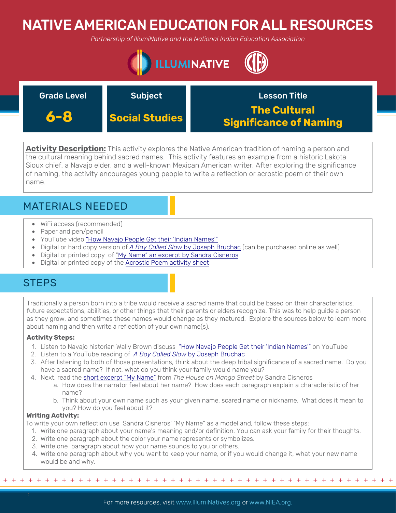# NATIVE AMERICAN EDUCATION FOR ALL RESOURCES

*Partnership of IllumiNative and the National Indian Education Association*



| <b>Grade Level</b> | <b>Subject</b>        | <b>Lesson Title</b>                                  |
|--------------------|-----------------------|------------------------------------------------------|
| 6-8                | <b>Social Studies</b> | <b>The Cultural</b><br><b>Significance of Naming</b> |

**Activity Description:** This activity explores the Native American tradition of naming a person and the cultural meaning behind sacred names. This activity features an example from a historic Lakota Sioux chief, a Navajo elder, and a well-known Mexican American writer. After exploring the significance of naming, the activity encourages young people to write a reflection or acrostic poem of their own name.

## MATERIALS NEEDED

- WiFi access (recommended)
- Paper and pen/pencil
- YouTube video ["How Navajo People Get their 'Indian Names'"](https://www.youtube.com/watch?v=kvPAXWyW_kI)
- Digital or hard copy version of *A Boy Called Slow* [by Joseph Bruchac \(can be purchased online as well\)](https://www.youtube.com/watch?v=_ZItz8ZdSmU)
- Digital or printed copy of "[My Name" an excerpt by Sandra Cisneros](http://www.napavalley.edu/people/LYanover/Documents/English%2085/English%2085%20My%20Name%20by%20Sandra%20Cisneros.pdf)
- Digital or printed copy of the [Acrostic Poem activity sheet](https://www.neshaminy.org/cms/lib6/PA01000466/Centricity/Domain/439/Early%20Man%204%20-%20HANDOUT%20CNN%20Acrostic%20Directions.pdf)

### **STEPS**

Traditionally a person born into a tribe would receive a sacred name that could be based on their characteristics, future expectations, abilities, or other things that their parents or elders recognize. This was to help quide a person as they grow, and sometimes these names would change as they matured. Explore the sources below to learn more about naming and then write a reflection of your own name(s).

### **Activity Steps:**

- 1. Listen to Navajo historian Wally Brown discuss ["How Navajo People Get their 'Indian Names'"](https://www.youtube.com/watch?v=kvPAXWyW_kI) on YouTube
- 2. Listen to a YouTube reading of *A Boy Called Slow* [by Joseph Bruchac](https://www.youtube.com/watch?v=_ZItz8ZdSmU)
- 3. After listening to both of those presentations, think about the deep tribal significance of a sacred name. Do you have a sacred name? If not, what do you think your family would name you?
- 4. Next, read the [short excerpt "My Name"](http://www.napavalley.edu/people/LYanover/Documents/English%2085/English%2085%20My%20Name%20by%20Sandra%20Cisneros.pdf) from *The House on Mango Street* by Sandra Cisneros
	- a. How does the narrator feel about her name? How does each paragraph explain a characteristic of her name?
	- b. Think about your own name such as your given name, scared name or nickname. What does it mean to you? How do you feel about it?

### **Writing Activity:**

To write your own reflection use Sandra Cisneros' "My Name" as a model and, follow these steps:

- 1. Write one paragraph about your name's meaning and/or definition. You can ask your family for their thoughts.
- 2. Write one paragraph about the color your name represents or symbolizes.
- 3. Write one paragraph about how your name sounds to you or others.
- 4. Write one paragraph about why you want to keep your name, or if you would change it, what your new name would be and why.

+ + + + + + + + + + + + + + + + + + + + + + + + + + + + + + + + + + + + + + + + + + + + + + + +